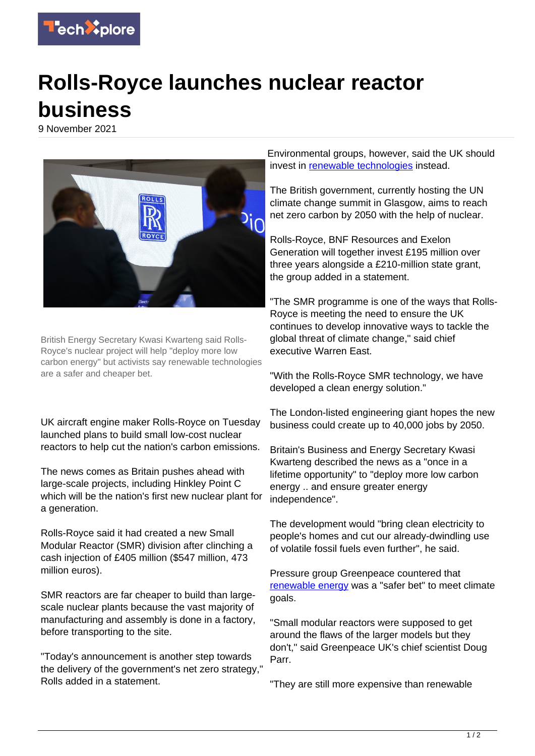

## **Rolls-Royce launches nuclear reactor business**

9 November 2021



British Energy Secretary Kwasi Kwarteng said Rolls-Royce's nuclear project will help "deploy more low carbon energy" but activists say renewable technologies are a safer and cheaper bet.

UK aircraft engine maker Rolls-Royce on Tuesday launched plans to build small low-cost nuclear reactors to help cut the nation's carbon emissions.

The news comes as Britain pushes ahead with large-scale projects, including Hinkley Point C which will be the nation's first new nuclear plant for a generation.

Rolls-Royce said it had created a new Small Modular Reactor (SMR) division after clinching a cash injection of £405 million (\$547 million, 473 million euros).

SMR reactors are far cheaper to build than largescale nuclear plants because the vast majority of manufacturing and assembly is done in a factory, before transporting to the site.

"Today's announcement is another step towards the delivery of the government's net zero strategy," Rolls added in a statement.

Environmental groups, however, said the UK should invest in [renewable technologies](https://techxplore.com/tags/renewable+technologies/) instead.

The British government, currently hosting the UN climate change summit in Glasgow, aims to reach net zero carbon by 2050 with the help of nuclear.

Rolls-Royce, BNF Resources and Exelon Generation will together invest £195 million over three years alongside a £210-million state grant, the group added in a statement.

"The SMR programme is one of the ways that Rolls-Royce is meeting the need to ensure the UK continues to develop innovative ways to tackle the global threat of climate change," said chief executive Warren East.

"With the Rolls-Royce SMR technology, we have developed a clean energy solution."

The London-listed engineering giant hopes the new business could create up to 40,000 jobs by 2050.

Britain's Business and Energy Secretary Kwasi Kwarteng described the news as a "once in a lifetime opportunity" to "deploy more low carbon energy .. and ensure greater energy independence".

The development would "bring clean electricity to people's homes and cut our already-dwindling use of volatile fossil fuels even further", he said.

Pressure group Greenpeace countered that [renewable energy](https://techxplore.com/tags/renewable+energy/) was a "safer bet" to meet climate goals.

"Small modular reactors were supposed to get around the flaws of the larger models but they don't," said Greenpeace UK's chief scientist Doug Parr.

"They are still more expensive than renewable